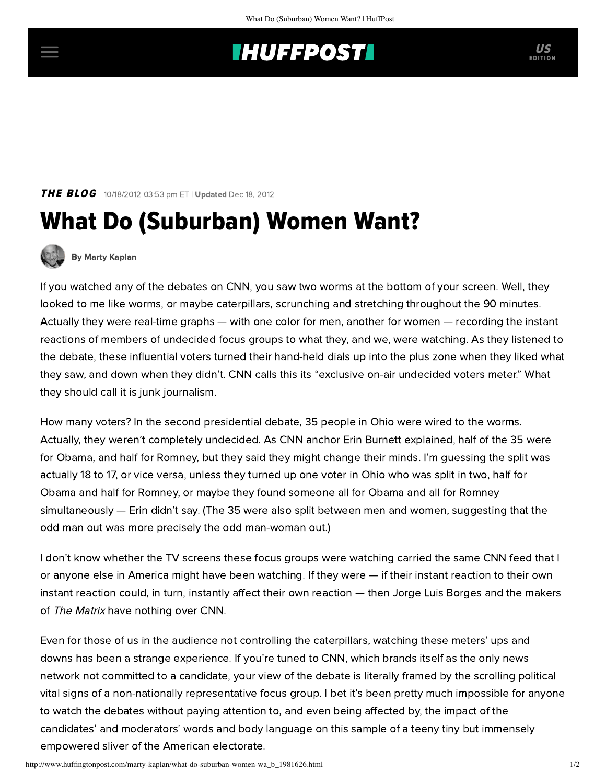## **INUFFPOSTI** US

#### **THE BLOG** 10/18/2012 03:53 pm ET | Updated Dec 18, 2012

# What Do (Suburban) Women Want?



#### [By Marty Kaplan](http://www.huffingtonpost.com/author/marty-kaplan)

If you watched any of the debates on CNN, you saw two worms at the bottom of your screen. Well, they looked to me like worms, or maybe caterpillars, scrunching and stretching throughout the 90 minutes. Actually they were real-time graphs — with one color for men, another for women — recording the instant reactions of members of undecided focus groups to what they, and we, were watching. As they listened to the debate, these influential voters turned their hand-held dials up into the plus zone when they liked what they saw, and down when they didn't. CNN calls this its "exclusive on-air undecided voters meter." What they should call it is junk journalism.

How many voters? In the second presidential debate, 35 people in Ohio were wired to the worms. Actually, they weren't completely undecided. As CNN anchor Erin Burnett explained, half of the 35 were for Obama, and half for Romney, but they said they might change their minds. I'm guessing the split was actually 18 to 17, or vice versa, unless they turned up one voter in Ohio who was split in two, half for Obama and half for Romney, or maybe they found someone all for Obama and all for Romney simultaneously — Erin didn't say. (The 35 were also split between men and women, suggesting that the odd man out was more precisely the odd man-woman out.)

I don't know whether the TV screens these focus groups were watching carried the same CNN feed that I or anyone else in America might have been watching. If they were — if their instant reaction to their own instant reaction could, in turn, instantly affect their own reaction — then Jorge Luis Borges and the makers of The Matrix have nothing over CNN.

Even for those of us in the audience not controlling the caterpillars, watching these meters' ups and downs has been a strange experience. If you're tuned to CNN, which brands itself as the only news network not committed to a candidate, your view of the debate is literally framed by the scrolling political vital signs of a non-nationally representative focus group. I bet it's been pretty much impossible for anyone to watch the debates without paying attention to, and even being affected by, the impact of the candidates' and moderators' words and body language on this sample of a teeny tiny but immensely empowered sliver of the American electorate.